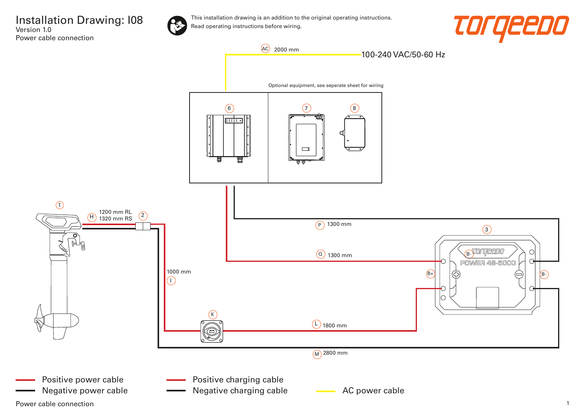Installation Drawing: I08 Version 1.0 Power cable connection



This installation drawing is an addition to the original operating instructions. Read operating instructions before wiring.



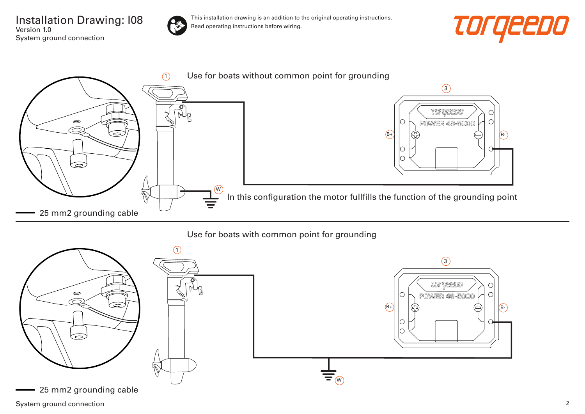Installation Drawing: I08 Version 1.0 System ground connection



This installation drawing is an addition to the original operating instructions. Read operating instructions before wiring.





## Use for boats with common point for grounding



System ground connection 2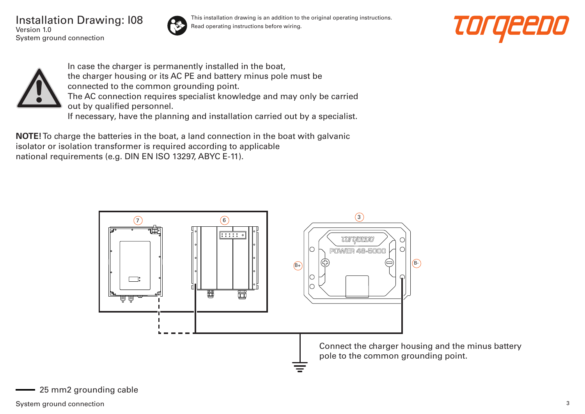Installation Drawing: I08 Version 1.0 System ground connection



This installation drawing is an addition to the original operating instructions. Read operating instructions before wiring.





In case the charger is permanently installed in the boat, the charger housing or its AC PE and battery minus pole must be connected to the common grounding point. The AC connection requires specialist knowledge and may only be carried out by qualified personnel. If necessary, have the planning and installation carried out by a specialist.

**NOTE!** To charge the batteries in the boat, a land connection in the boat with galvanic isolator or isolation transformer is required according to applicable national requirements (e.g. DIN EN ISO 13297, ABYC E-11).

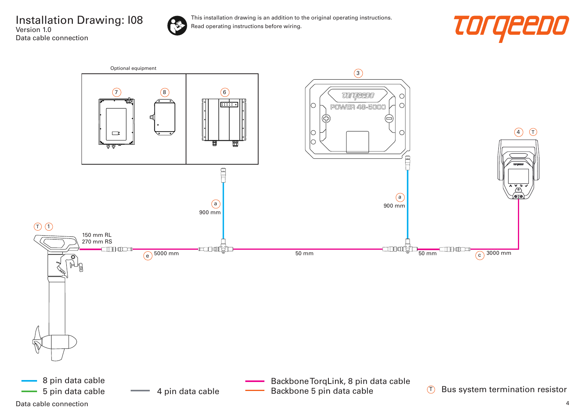Installation Drawing: I08 Version 1.0 Data cable connection



This installation drawing is an addition to the original operating instructions. Read operating instructions before wiring.



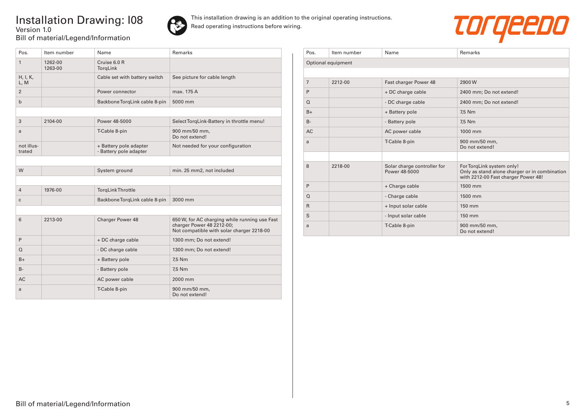## Installation Drawing: I08 Version 1.0 Bill of material/Legend/Information



This installation drawing is an addition to the original operating instructions. Read operating instructions before wiring.



| Pos.                 | Item number        | Name                                             | Remarks                                                                                                                 |
|----------------------|--------------------|--------------------------------------------------|-------------------------------------------------------------------------------------------------------------------------|
| $\mathbf{1}$         | 1262-00<br>1263-00 | Cruise 6.0 R<br>TorgLink                         |                                                                                                                         |
| H, I, K,<br>L, M     |                    | Cable set with battery switch                    | See picture for cable length                                                                                            |
| 2                    |                    | Power connector                                  | max. 175 A                                                                                                              |
| $\mathsf b$          |                    | Backbone TorqLink cable 8-pin                    | 5000 mm                                                                                                                 |
|                      |                    |                                                  |                                                                                                                         |
| 3                    | 2104-00            | Power 48-5000                                    | Select TorqLink-Battery in throttle menu!                                                                               |
| a                    |                    | T-Cable 8-pin                                    | 900 mm/50 mm,<br>Do not extend!                                                                                         |
| not illus-<br>trated |                    | + Battery pole adapter<br>- Battery pole adapter | Not needed for your configuration                                                                                       |
|                      |                    |                                                  |                                                                                                                         |
| W                    |                    | System ground                                    | min. 25 mm2, not included                                                                                               |
|                      |                    |                                                  |                                                                                                                         |
| $\overline{4}$       | 1976-00            | <b>TorgLinkThrottle</b>                          |                                                                                                                         |
| $\mathbf{C}$         |                    | Backbone TorqLink cable 8-pin                    | 3000 mm                                                                                                                 |
|                      |                    |                                                  |                                                                                                                         |
| 6                    | 2213-00            | Charger Power 48                                 | 650 W, for AC charging while running use Fast<br>charger Power 48 2212-00;<br>Not compatible with solar charger 2218-00 |
| P                    |                    | + DC charge cable                                | 1300 mm; Do not extend!                                                                                                 |
| $\Omega$             |                    | - DC charge cable                                | 1300 mm; Do not extend!                                                                                                 |
| $B+$                 |                    | + Battery pole                                   | 7,5 Nm                                                                                                                  |
| $B -$                |                    | - Battery pole                                   | 7,5 Nm                                                                                                                  |
| <b>AC</b>            |                    | AC power cable                                   | 2000 mm                                                                                                                 |
| a                    |                    | T-Cable 8-pin                                    | 900 mm/50 mm,<br>Do not extend!                                                                                         |

| Pos.           | Item number        | Name                                         | Remarks                                                                                                           |
|----------------|--------------------|----------------------------------------------|-------------------------------------------------------------------------------------------------------------------|
|                | Optional equipment |                                              |                                                                                                                   |
|                |                    |                                              |                                                                                                                   |
| $\overline{7}$ | 2212-00            | Fast charger Power 48                        | 2900W                                                                                                             |
| P              |                    | + DC charge cable                            | 2400 mm; Do not extend!                                                                                           |
| $\Omega$       |                    | - DC charge cable                            | 2400 mm; Do not extend!                                                                                           |
| $B+$           |                    | + Battery pole                               | 7,5 Nm                                                                                                            |
| $B -$          |                    | - Battery pole                               | 7,5 Nm                                                                                                            |
| <b>AC</b>      |                    | AC power cable                               | 1000 mm                                                                                                           |
| a              |                    | T-Cable 8-pin                                | 900 mm/50 mm,<br>Do not extend!                                                                                   |
|                |                    |                                              |                                                                                                                   |
| 8              | 2218-00            | Solar charge controller for<br>Power 48-5000 | For TorqLink system only!<br>Only as stand alone charger or in combination<br>with 2212-00 Fast charger Power 48! |
| P              |                    | + Charge cable                               | 1500 mm                                                                                                           |
| $\Omega$       |                    | - Charge cable                               | 1500 mm                                                                                                           |
| $\mathsf{R}$   |                    | + Input solar cable                          | 150 mm                                                                                                            |
| S              |                    | - Input solar cable                          | 150 mm                                                                                                            |
| a              |                    | T-Cable 8-pin                                | 900 mm/50 mm,<br>Do not extend!                                                                                   |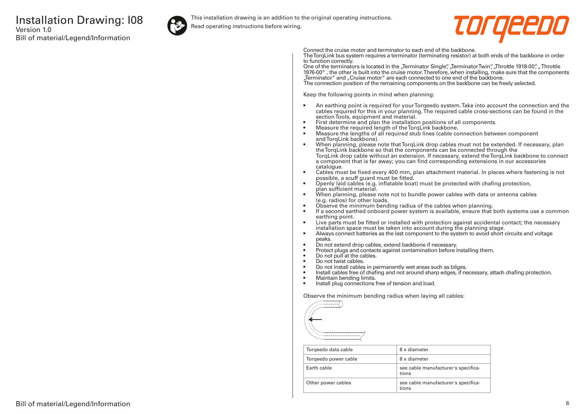

This installation drawing is an addition to the original operating instructions.

Read operating instructions before wiring.



Connect the cruise motor and terminator to each end of the backbone.

The TorqLink bus system requires a terminator (terminating resistor) at both ends of the backbone in order to function correctly.

One of the terminators is located in the "Terminator Single", "Terminator Twin", "Throttle 1918-00", "Throttle 1976-00" , the other is built into the cruise motor. Therefore, when installing, make sure that the components "Terminator" and "Cruise motor" are each connected to one end of the backbone. The connection position of the remaining components on the backbone can be freely selected.

Keep the following points in mind when planning:

- An earthing point is required for your Torqeedo system. Take into account the connection and the cables required for this in your planning. The required cable cross-sections can be found in the section Tools, equipment and material.
- First determine and plan the installation positions of all components.
- Measure the required length of the TorqLink backbone.<br>• Measure the lengths of all required stub lines (cable co
- Measure the lengths of all required stub lines (cable connection between component and TorqLink backbone).
- When planning, please note that TorqLink drop cables must not be extended. If necessary, plan the TorqLink backbone so that the components can be connected through the TorqLink drop cable without an extension. If necessary, extend the TorqLink backbone to connect a component that is far away; you can find corresponding extensions in our accessories catalogue.
- Cables must be fixed every 400 mm, plan attachment material. In places where fastening is not possible, a scuff guard must be fitted.
- Openly laid cables (e.g. inflatable boat) must be protected with chafing protection, plan sufficient material.
- When planning, please note not to bundle power cables with data or antenna cables (e.g. radios) for other loads.
- Observe the minimum bending radius of the cables when planning.
- If a second earthed onboard power system is available, ensure that both systems use a common earthing point.
- Live parts must be fitted or installed with protection against accidental contact; the necessary installation space must be taken into account during the planning stage.
- Always connect batteries as the last component to the system to avoid short circuits and voltage peaks.
- Do not extend drop cables, extend backbone if necessary.
- Protect plugs and contacts against contamination before installing them.
- Do not pull at the cables.
- Do not twist cables.
- Do not install cables in permanently wet areas such as bilges.
- Install cables free of chafing and not around sharp edges, if necessary, attach chafing protection.<br>• Maintain bending limits
- Maintain bending limits.
- Install plug connections free of tension and load.

Observe the minimum bending radius when laying all cables:



| Torgeedo data cable  | 8 x diameter                                 |
|----------------------|----------------------------------------------|
| Torgeedo power cable | 8 x diameter                                 |
| Farth cable          | see cable manufacturer's specifica-<br>tions |
| Other power cables   | see cable manufacturer's specifica-<br>tions |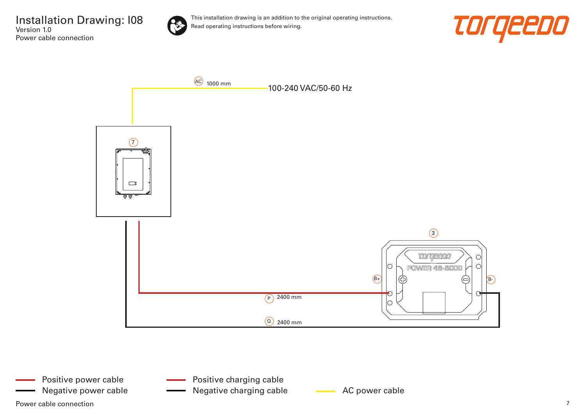Installation Drawing: I08 Version 1.0 Power cable connection



This installation drawing is an addition to the original operating instructions. Read operating instructions before wiring.





Power cable connection  $\overline{7}$